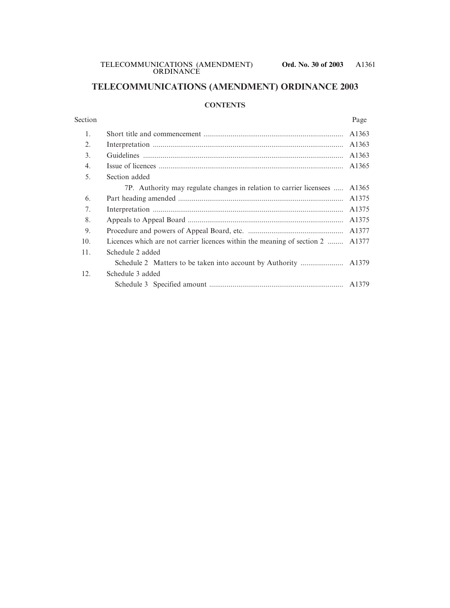## **TELECOMMUNICATIONS (AMENDMENT) ORDINANCE 2003**

#### **CONTENTS**

# Section Page 1. Short title and commencement ........................................................................ A1363 2. Interpretation .................................................................................................. A1363 3. Guidelines ....................................................................................................... A1363 4. Issue of licences ............................................................................................... A1365 5. Section added 7P. Authority may regulate changes in relation to carrier licensees ..... A1365 6. Part heading amended ..................................................................................... A1375 7. Interpretation .................................................................................................. A1375 8. Appeals to Appeal Board ................................................................................ A1375 9. Procedure and powers of Appeal Board, etc. ................................................. A1377 10. Licences which are not carrier licences within the meaning of section 2 ........ A1377 11. Schedule 2 added Schedule 2 Matters to be taken into account by Authority ...................... A1379 12. Schedule 3 added Schedule 3 Specified amount ..................................................................... A1379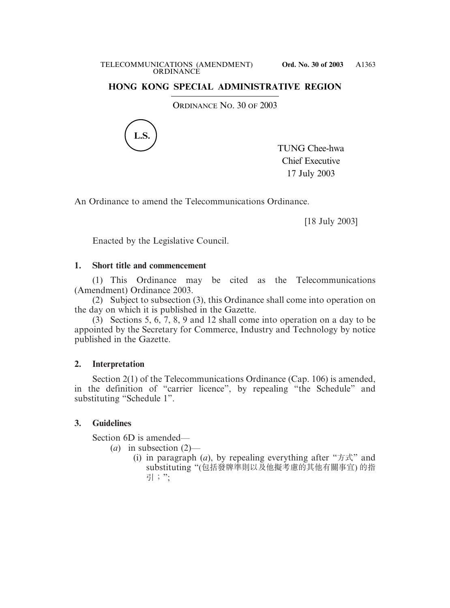## **HONG KONG SPECIAL ADMINISTRATIVE REGION**

ORDINANCE NO. 30 OF 2003



TUNG Chee-hwa Chief Executive 17 July 2003

An Ordinance to amend the Telecommunications Ordinance.

[18 July 2003]

Enacted by the Legislative Council.

### **1. Short title and commencement**

(1) This Ordinance may be cited as the Telecommunications (Amendment) Ordinance 2003.

(2) Subject to subsection (3), this Ordinance shall come into operation on the day on which it is published in the Gazette.

(3) Sections 5, 6, 7, 8, 9 and 12 shall come into operation on a day to be appointed by the Secretary for Commerce, Industry and Technology by notice published in the Gazette.

### **2. Interpretation**

Section 2(1) of the Telecommunications Ordinance (Cap. 106) is amended, in the definition of "carrier licence", by repealing "the Schedule" and substituting "Schedule 1".

### **3. Guidelines**

Section 6D is amended—

- (*a*) in subsection (2)—
	- (i) in paragraph (*a*), by repealing everything after " $\pi \vec{x}$ " and substituting "(包括發牌準則以及他擬考慮的其他有關事宜) 的指 引;";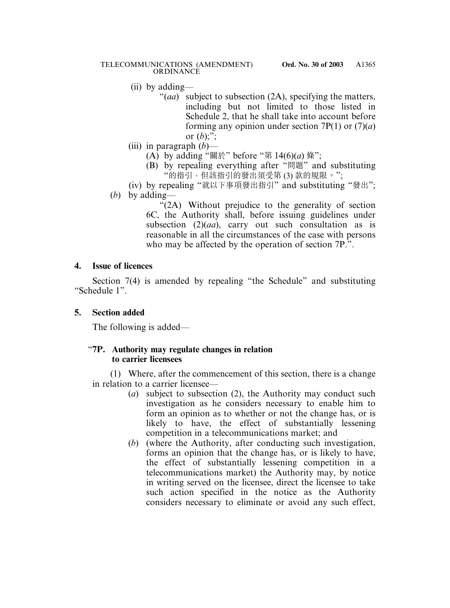- (ii) by adding—
	- "(*aa*) subject to subsection (2A), specifying the matters, including but not limited to those listed in Schedule 2, that he shall take into account before forming any opinion under section 7P(1) or (7)(*a*) or  $(b)$ ;";
- (iii) in paragraph (*b*)—
	- (A) by adding "關於" before "第  $14(6)(a)$  條";
	- (B) by repealing everything after "問題" and substituting "的指引,但該指引的發出須受第 (3) 款的規限。";
- (iv) by repealing "就以下事項發出指引" and substituting "發出"; (*b*) by adding—

"(2A) Without prejudice to the generality of section 6C, the Authority shall, before issuing guidelines under subsection (2)(*aa*), carry out such consultation as is reasonable in all the circumstances of the case with persons who may be affected by the operation of section 7P.".

## **4. Issue of licences**

Section 7(4) is amended by repealing "the Schedule" and substituting "Schedule 1".

# **5. Section added**

The following is added—

## "**7P. Authority may regulate changes in relation to carrier licensees**

(1) Where, after the commencement of this section, there is a change in relation to a carrier licensee—

- (*a*) subject to subsection (2), the Authority may conduct such investigation as he considers necessary to enable him to form an opinion as to whether or not the change has, or is likely to have, the effect of substantially lessening competition in a telecommunications market; and
- (*b*) (where the Authority, after conducting such investigation, forms an opinion that the change has, or is likely to have, the effect of substantially lessening competition in a telecommunications market) the Authority may, by notice in writing served on the licensee, direct the licensee to take such action specified in the notice as the Authority considers necessary to eliminate or avoid any such effect,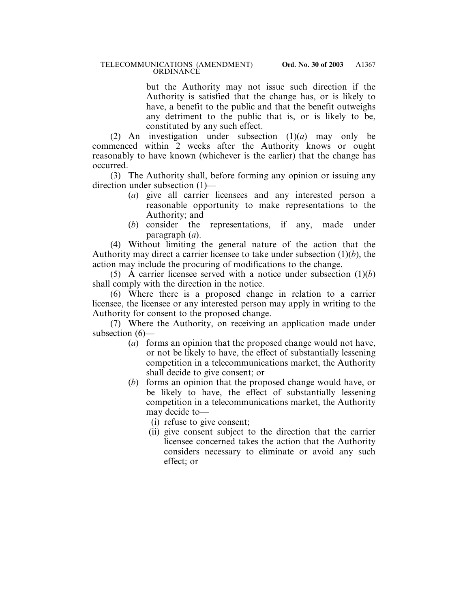but the Authority may not issue such direction if the Authority is satisfied that the change has, or is likely to have, a benefit to the public and that the benefit outweighs any detriment to the public that is, or is likely to be, constituted by any such effect.

(2) An investigation under subsection (1)(*a*) may only be commenced within 2 weeks after the Authority knows or ought reasonably to have known (whichever is the earlier) that the change has occurred.

(3) The Authority shall, before forming any opinion or issuing any direction under subsection (1)—

- (*a*) give all carrier licensees and any interested person a reasonable opportunity to make representations to the Authority; and
- (*b*) consider the representations, if any, made under paragraph (*a*).

(4) Without limiting the general nature of the action that the Authority may direct a carrier licensee to take under subsection (1)(*b*), the action may include the procuring of modifications to the change.

(5) A carrier licensee served with a notice under subsection (1)(*b*) shall comply with the direction in the notice.

(6) Where there is a proposed change in relation to a carrier licensee, the licensee or any interested person may apply in writing to the Authority for consent to the proposed change.

(7) Where the Authority, on receiving an application made under subsection (6)—

- (*a*) forms an opinion that the proposed change would not have, or not be likely to have, the effect of substantially lessening competition in a telecommunications market, the Authority shall decide to give consent; or
- (*b*) forms an opinion that the proposed change would have, or be likely to have, the effect of substantially lessening competition in a telecommunications market, the Authority may decide to—
	- (i) refuse to give consent;
	- (ii) give consent subject to the direction that the carrier licensee concerned takes the action that the Authority considers necessary to eliminate or avoid any such effect; or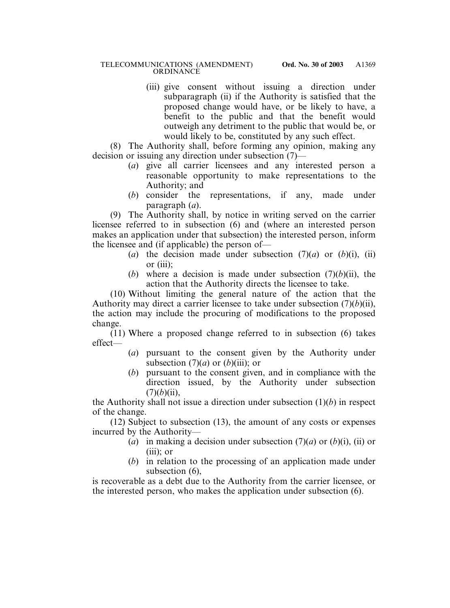#### TELECOMMUNICATIONS (AMENDMENT) **Ord. No. 30 of 2003 ORDINANCE**

(iii) give consent without issuing a direction under subparagraph (ii) if the Authority is satisfied that the proposed change would have, or be likely to have, a benefit to the public and that the benefit would outweigh any detriment to the public that would be, or would likely to be, constituted by any such effect.

(8) The Authority shall, before forming any opinion, making any decision or issuing any direction under subsection (7)—

- (*a*) give all carrier licensees and any interested person a reasonable opportunity to make representations to the Authority; and
- (*b*) consider the representations, if any, made under paragraph (*a*).

(9) The Authority shall, by notice in writing served on the carrier licensee referred to in subsection (6) and (where an interested person makes an application under that subsection) the interested person, inform the licensee and (if applicable) the person of—

- (*a*) the decision made under subsection  $(7)(a)$  or  $(b)(i)$ , (ii) or (iii);
- (*b*) where a decision is made under subsection  $(7)(b)(ii)$ , the action that the Authority directs the licensee to take.

(10) Without limiting the general nature of the action that the Authority may direct a carrier licensee to take under subsection (7)(*b*)(ii), the action may include the procuring of modifications to the proposed change.

 $(11)$  Where a proposed change referred to in subsection  $(6)$  takes effect—

- (*a*) pursuant to the consent given by the Authority under subsection  $(7)(a)$  or  $(b)(iii)$ ; or
- (*b*) pursuant to the consent given, and in compliance with the direction issued, by the Authority under subsection  $(7)(b)(ii)$ ,

the Authority shall not issue a direction under subsection (1)(*b*) in respect of the change.

(12) Subject to subsection (13), the amount of any costs or expenses incurred by the Authority—

- (*a*) in making a decision under subsection  $(7)(a)$  or  $(b)(i)$ , (*ii*) or (iii); or
- (*b*) in relation to the processing of an application made under subsection (6),

is recoverable as a debt due to the Authority from the carrier licensee, or the interested person, who makes the application under subsection (6).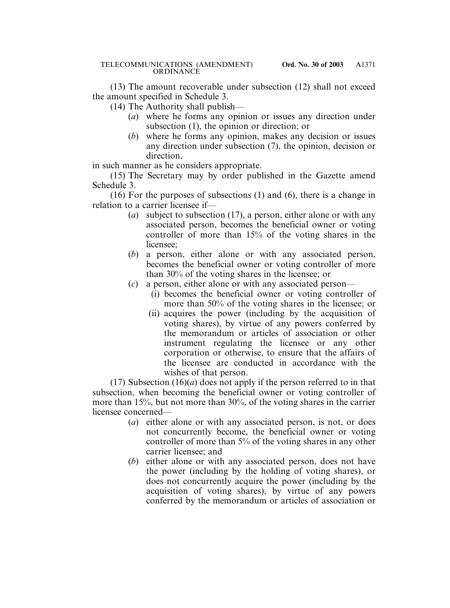(13) The amount recoverable under subsection (12) shall not exceed the amount specified in Schedule 3.

(14) The Authority shall publish—

- (*a*) where he forms any opinion or issues any direction under subsection (1), the opinion or direction; or
- (*b*) where he forms any opinion, makes any decision or issues any direction under subsection (7), the opinion, decision or direction,

in such manner as he considers appropriate.

(15) The Secretary may by order published in the Gazette amend Schedule 3.

(16) For the purposes of subsections (1) and (6), there is a change in relation to a carrier licensee if—

- (*a*) subject to subsection (17), a person, either alone or with any associated person, becomes the beneficial owner or voting controller of more than 15% of the voting shares in the licensee;
- (*b*) a person, either alone or with any associated person, becomes the beneficial owner or voting controller of more than 30% of the voting shares in the licensee; or
- (*c*) a person, either alone or with any associated person—
	- (i) becomes the beneficial owner or voting controller of more than 50% of the voting shares in the licensee; or
	- (ii) acquires the power (including by the acquisition of voting shares), by virtue of any powers conferred by the memorandum or articles of association or other instrument regulating the licensee or any other corporation or otherwise, to ensure that the affairs of the licensee are conducted in accordance with the wishes of that person.

(17) Subsection  $(16)(a)$  does not apply if the person referred to in that subsection, when becoming the beneficial owner or voting controller of more than 15%, but not more than 30%, of the voting shares in the carrier licensee concerned—

- (*a*) either alone or with any associated person, is not, or does not concurrently become, the beneficial owner or voting controller of more than 5% of the voting shares in any other carrier licensee; and
- (*b*) either alone or with any associated person, does not have the power (including by the holding of voting shares), or does not concurrently acquire the power (including by the acquisition of voting shares), by virtue of any powers conferred by the memorandum or articles of association or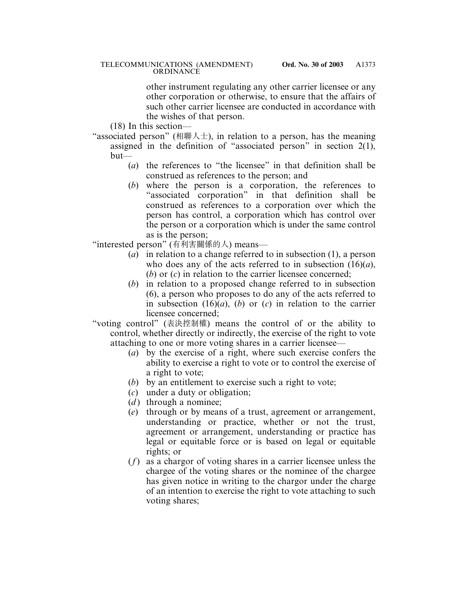other instrument regulating any other carrier licensee or any other corporation or otherwise, to ensure that the affairs of such other carrier licensee are conducted in accordance with the wishes of that person.

(18) In this section—

- "associated person" (相聯人士), in relation to a person, has the meaning assigned in the definition of "associated person" in section 2(1), but—
	- (*a*) the references to "the licensee" in that definition shall be construed as references to the person; and
	- (*b*) where the person is a corporation, the references to "associated corporation" in that definition shall be construed as references to a corporation over which the person has control, a corporation which has control over the person or a corporation which is under the same control as is the person;

"interested person" (有利害關係的人) means—

- (*a*) in relation to a change referred to in subsection (1), a person who does any of the acts referred to in subsection (16)(*a*), (*b*) or (*c*) in relation to the carrier licensee concerned;
- (*b*) in relation to a proposed change referred to in subsection (6), a person who proposes to do any of the acts referred to in subsection (16)(*a*), (*b*) or (*c*) in relation to the carrier licensee concerned;
- "voting control" (表決控制權) means the control of or the ability to control, whether directly or indirectly, the exercise of the right to vote attaching to one or more voting shares in a carrier licensee—
	- (*a*) by the exercise of a right, where such exercise confers the ability to exercise a right to vote or to control the exercise of a right to vote;
	- (*b*) by an entitlement to exercise such a right to vote;
	- (*c*) under a duty or obligation;
	- $(d)$  through a nominee;
	- (*e*) through or by means of a trust, agreement or arrangement, understanding or practice, whether or not the trust, agreement or arrangement, understanding or practice has legal or equitable force or is based on legal or equitable rights; or
	- (*f*) as a chargor of voting shares in a carrier licensee unless the chargee of the voting shares or the nominee of the chargee has given notice in writing to the chargor under the charge of an intention to exercise the right to vote attaching to such voting shares;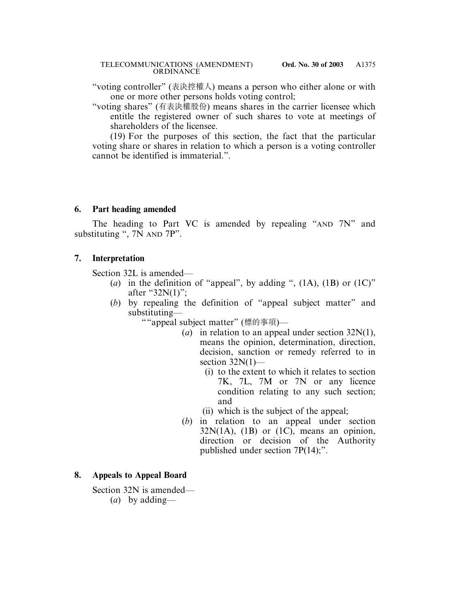#### TELECOMMUNICATIONS (AMENDMENT) **Ord. No. 30 of 2003 ORDINANCE**

"voting controller" (表決控權人) means a person who either alone or with one or more other persons holds voting control;

"voting shares" (有表決權股份) means shares in the carrier licensee which entitle the registered owner of such shares to vote at meetings of shareholders of the licensee.

(19) For the purposes of this section, the fact that the particular voting share or shares in relation to which a person is a voting controller cannot be identified is immaterial.".

### **6. Part heading amended**

The heading to Part VC is amended by repealing "AND 7N" and substituting ", 7N AND 7P".

## **7. Interpretation**

Section 32L is amended—

- (*a*) in the definition of "appeal", by adding ",  $(1A)$ ,  $(1B)$  or  $(1C)$ " after "32N(1)";
- (*b*) by repealing the definition of "appeal subject matter" and substituting—

""appeal subject matter" (標的事項)—

- (*a*) in relation to an appeal under section 32N(1), means the opinion, determination, direction, decision, sanction or remedy referred to in section  $32N(1)$ —
	- (i) to the extent to which it relates to section 7K, 7L, 7M or 7N or any licence condition relating to any such section; and
	- (ii) which is the subject of the appeal;
- (*b*) in relation to an appeal under section  $32N(1A)$ ,  $(1B)$  or  $(1C)$ , means an opinion, direction or decision of the Authority published under section 7P(14);".

## **8. Appeals to Appeal Board**

Section 32N is amended—

(*a*) by adding—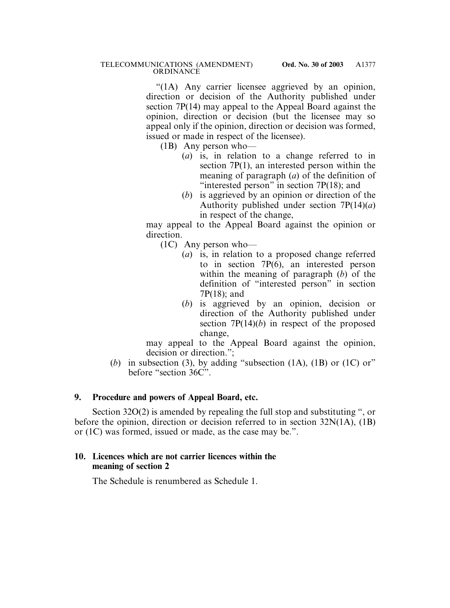"(1A) Any carrier licensee aggrieved by an opinion, direction or decision of the Authority published under section 7P(14) may appeal to the Appeal Board against the opinion, direction or decision (but the licensee may so appeal only if the opinion, direction or decision was formed, issued or made in respect of the licensee).

(1B) Any person who—

- (*a*) is, in relation to a change referred to in section 7P(1), an interested person within the meaning of paragraph (*a*) of the definition of "interested person" in section 7P(18); and
- (*b*) is aggrieved by an opinion or direction of the Authority published under section 7P(14)(*a*) in respect of the change,

may appeal to the Appeal Board against the opinion or direction.

- (1C) Any person who—
	- (*a*) is, in relation to a proposed change referred to in section  $7P(6)$ , an interested person within the meaning of paragraph (*b*) of the definition of "interested person" in section 7P(18); and
	- (*b*) is aggrieved by an opinion, decision or direction of the Authority published under section 7P(14)(*b*) in respect of the proposed change,

may appeal to the Appeal Board against the opinion, decision or direction.";

(*b*) in subsection (3), by adding "subsection (1A), (1B) or (1C) or" before "section 36C".

## **9. Procedure and powers of Appeal Board, etc.**

Section 32O(2) is amended by repealing the full stop and substituting ", or before the opinion, direction or decision referred to in section 32N(1A), (1B) or (1C) was formed, issued or made, as the case may be.".

### **10. Licences which are not carrier licences within the meaning of section 2**

The Schedule is renumbered as Schedule 1.